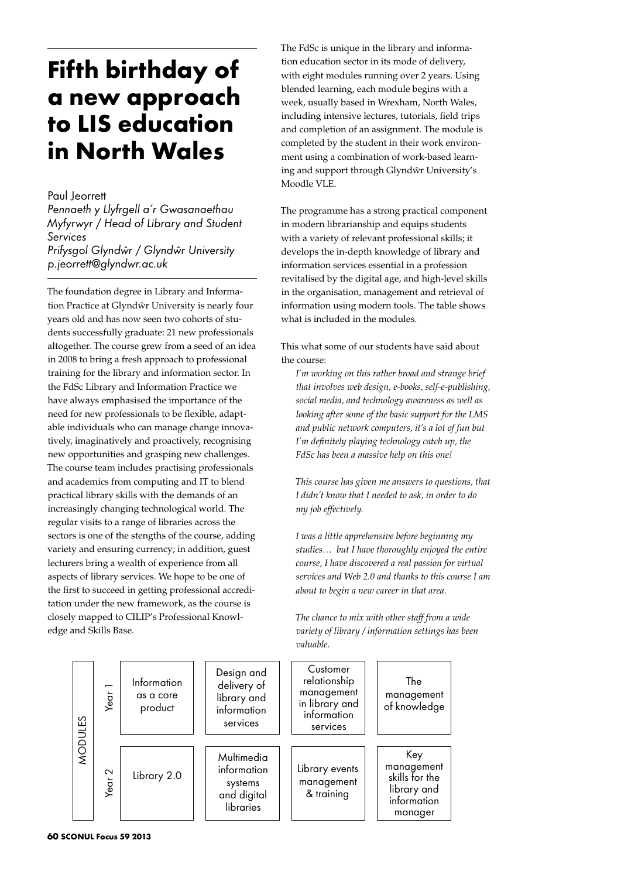## **Fifth birthday of a new approach to LIS education in North Wales**

## Paul Jeorrett

*Pennaeth y Llyfrgell a'r Gwasanaethau Myfyrwyr / Head of Library and Student Services Prifysgol Glyndwˆr / Glyndwˆr University p.jeorrett@glyndwr.ac.uk*

The foundation degree in Library and Information Practice at Glyndŵr University is nearly four years old and has now seen two cohorts of students successfully graduate: 21 new professionals altogether. The course grew from a seed of an idea in 2008 to bring a fresh approach to professional training for the library and information sector. In the FdSc Library and Information Practice we have always emphasised the importance of the need for new professionals to be flexible, adaptable individuals who can manage change innovatively, imaginatively and proactively, recognising new opportunities and grasping new challenges. The course team includes practising professionals and academics from computing and IT to blend practical library skills with the demands of an increasingly changing technological world. The regular visits to a range of libraries across the sectors is one of the stengths of the course, adding variety and ensuring currency; in addition, guest lecturers bring a wealth of experience from all aspects of library services. We hope to be one of the first to succeed in getting professional accreditation under the new framework, as the course is closely mapped to CILIP's Professional Knowledge and Skills Base.

The FdSc is unique in the library and information education sector in its mode of delivery, with eight modules running over 2 years. Using blended learning, each module begins with a week, usually based in Wrexham, North Wales, including intensive lectures, tutorials, field trips and completion of an assignment. The module is completed by the student in their work environment using a combination of work-based learning and support through Glyndŵr University's Moodle VLE.

The programme has a strong practical component in modern librarianship and equips students with a variety of relevant professional skills; it develops the in-depth knowledge of library and information services essential in a profession revitalised by the digital age, and high-level skills in the organisation, management and retrieval of information using modern tools. The table shows what is included in the modules.

This what some of our students have said about the course:

*I'm working on this rather broad and strange brief that involves web design, e-books, self-e-publishing, social media, and technology awareness as well as looking after some of the basic support for the LMS and public network computers, it's a lot of fun but I'm definitely playing technology catch up, the FdSc has been a massive help on this one!*

*This course has given me answers to questions, that I didn't know that I needed to ask, in order to do my job effectively.*

*I was a little apprehensive before beginning my studies… but I have thoroughly enjoyed the entire course, I have discovered a real passion for virtual services and Web 2.0 and thanks to this course I am about to begin a new career in that area.*

*The chance to mix with other staff from a wide variety of library / information settings has been valuable.*